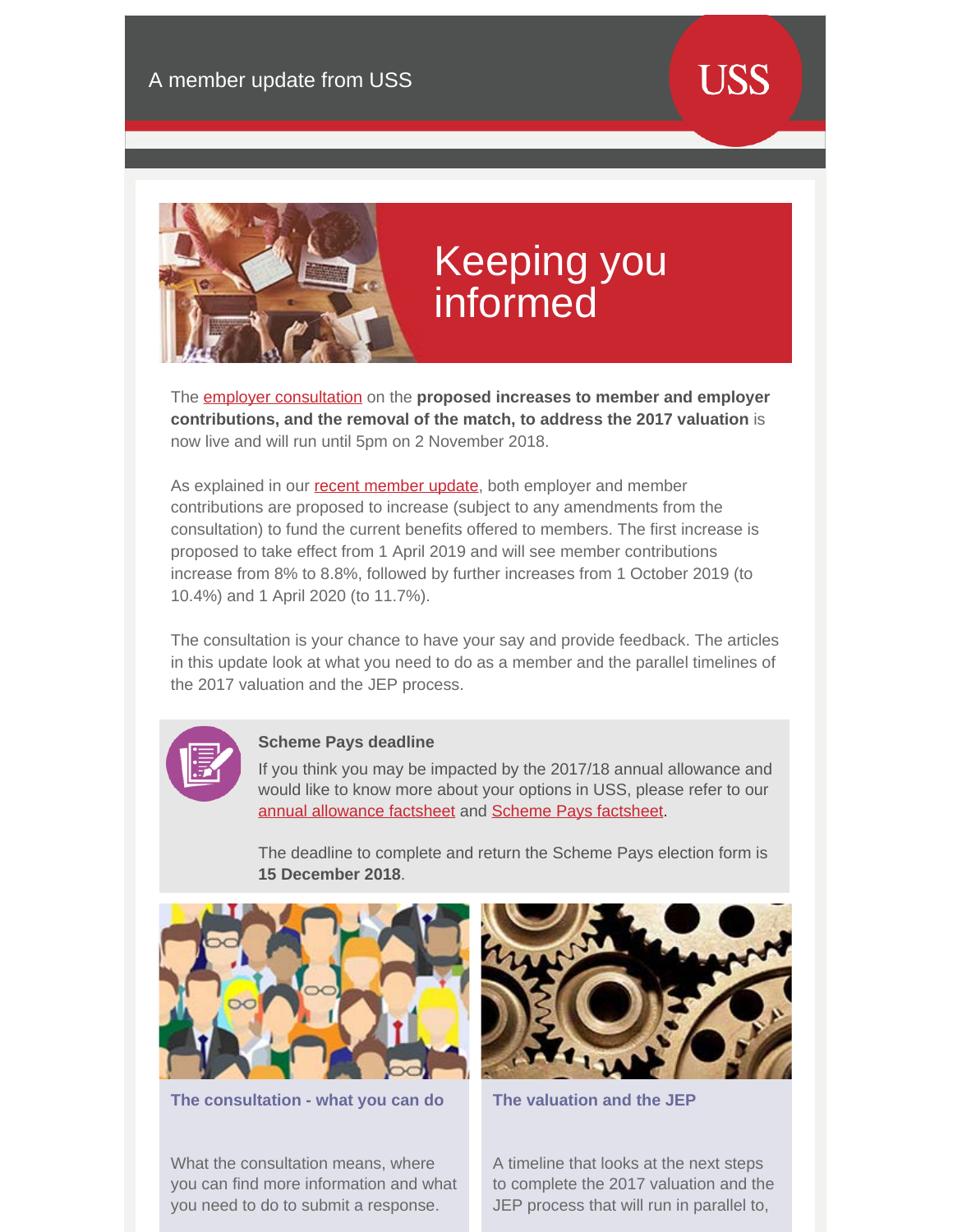

## Keeping you informed

The [employer consultation](https://www.ussconsultation2018.co.uk/members) on the **proposed increases to member and employer contributions, and the removal of the match, to address the 2017 valuation** is now live and will run until 5pm on 2 November 2018.

As explained in our [recent member update](https://www.uss.co.uk/how-uss-is-run/valuation/cost-sharing-update-proposed-changes-to-contribution-rates/how-the-cost-sharing-rule-will-affect-you), both employer and member contributions are proposed to increase (subject to any amendments from the consultation) to fund the current benefits offered to members. The first increase is proposed to take effect from 1 April 2019 and will see member contributions increase from 8% to 8.8%, followed by further increases from 1 October 2019 (to 10.4%) and 1 April 2020 (to 11.7%).

The consultation is your chance to have your say and provide feedback. The articles in this update look at what you need to do as a member and the parallel timelines of the 2017 valuation and the JEP process.



## **Scheme Pays deadline**

If you think you may be impacted by the 2017/18 annual allowance and would like to know more about your options in USS, please refer to our [annual allowance factsheet](https://www.uss.co.uk/~/media/document-libraries/uss/member/tax/annual-allowance.pdf) and [Scheme Pays factsheet](https://www.uss.co.uk/~/media/document-libraries/uss/member/tax/scheme-pays.pdf).

The deadline to complete and return the Scheme Pays election form is **15 December 2018**.



**The consultation - what you can do**

What the consultation means, where you can find more information and what you need to do to submit a response.



**The valuation and the JEP**

A timeline that looks at the next steps to complete the 2017 valuation and the JEP process that will run in parallel to,